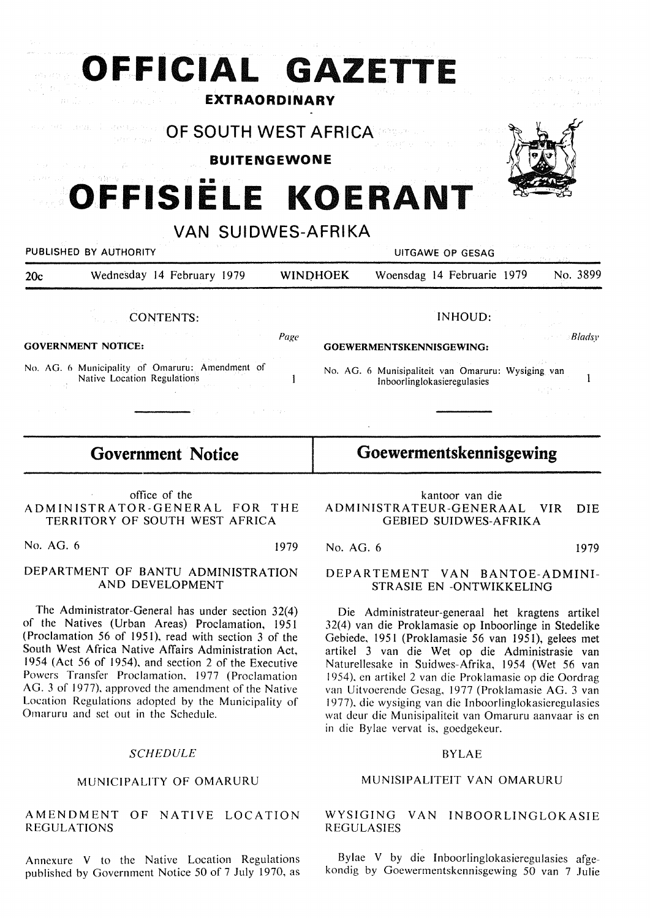| OFFICIAL GAZETTE                                                                   | <b>EXTRAORDINARY</b>    |                                                                                   |                       |
|------------------------------------------------------------------------------------|-------------------------|-----------------------------------------------------------------------------------|-----------------------|
| 409-140-1402   1<br><b>MERITA TOF SOUTH WEST AFRICARETY</b>                        | <b>BUITENGEWONE</b>     |                                                                                   |                       |
| OFFISIELE KOERANT<br>PUBLISHED BY AUTHORITY                                        | VAN SUIDWES-AFRIKA      | UITGAWE OP GESAG                                                                  |                       |
| Wednesday 14 February 1979<br>20c<br><b>CONTENTS:</b><br><b>GOVERNMENT NOTICE:</b> | <b>WINDHOEK</b><br>Page | Woensdag 14 Februarie 1979<br><b>INHOUD:</b><br>GOEWERMENTSKENNISGEWING:          | No. 3899<br>$B$ ladsv |
| No. AG. 6 Municipality of Omaruru: Amendment of<br>Native Location Regulations     |                         | No. AG. 6 Munisipaliteit van Omaruru: Wysiging van<br>Inboorlinglokasieregulasies |                       |

# **Government Notice**

office of the ADMINISTRATOR-GENERAL FOR THE TERRITORY OF SOUTH WEST AFRICA

No. AG. 6 1979

### DEPARTMENT OF BANTU ADMINISTRATION AND DEVELOPMENT

The Administrator-General has under section 32(4) of the Natives (Urban Areas) Proclamation, 1951 (Proclamation 56 of 1951), read with section 3 of the South West Africa Native Affairs Administration Act, 1954 (Act 56 of 1954), and section 2 of the Executive Powers Transfer Proclamation, 1977 (Proclamation AG. 3 of 1977), approved the amendment of the Native Location Regulations adopted by the Municipality of Omaruru and set out in the Schedule.

### **SCHEDULE**

# MUNICIPALITY OF OMARURU

#### AMENDMENT OF NATIVE LOCATION **REGULATIONS**

Annexure V to the Native Location Regulations published by Government Notice 50 of 7 July 1970, as

kantoor van die ADMINISTRATEUR-GENERAAL VIR DIE GEBIED SUIDWES-AFRIKA

**Goewermentskennisgewing** 

No. AG. 6 1979

### DEPARTEMENT VAN BANTOE-ADMINI-STRASIE EN -ONTWIKKELING

Die Administrateur-generaal het kragtens artikel 32(4) van die Proklamasie op Inboorlinge in Stedelike Gebiede, 1951 (Proklamasie 56 van 1951), gelees met artikel 3 van die Wet op die Administrasie van Naturellesake in Suidwes-Afrika, 1954 (Wet 56 van 1954), en artikel 2 van die Proklamasie op die Oordrag van Uitvoerende Gesag, 1977 (Proklamasie AG. 3 van 1977), die wysiging van die Inboorlinglokasieregulasies wat deur die Munisipaliteit van Omaruru aanvaar is en in die Bylae vervat is, goedgekeur.

#### BYLAE

### MUNISIPALITEIT VAN OMARURU

# WYSIGING VAN INBOORLINGLOKASIE REGULASIES

Bylae V by die lnboorlinglokasieregulasies afgekondig by Goewermentskennisgewing 50 van 7 Julie